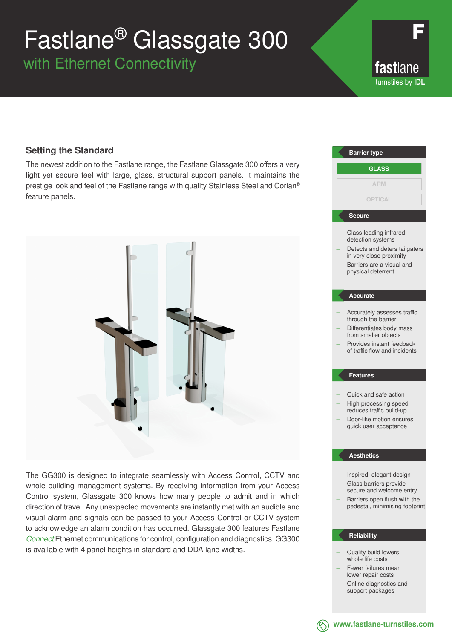# Fastlane® Glassgate 300

with Ethernet Connectivity

fastlane turnstiles by **IDL**

### **Setting the Standard**

The newest addition to the Fastlane range, the Fastlane Glassgate 300 offers a very light yet secure feel with large, glass, structural support panels. It maintains the prestige look and feel of the Fastlane range with quality Stainless Steel and Corian® feature panels.



The GG300 is designed to integrate seamlessly with Access Control, CCTV and whole building management systems. By receiving information from your Access Control system, Glassgate 300 knows how many people to admit and in which direction of travel. Any unexpected movements are instantly met with an audible and visual alarm and signals can be passed to your Access Control or CCTV system to acknowledge an alarm condition has occurred. Glassgate 300 features Fastlane *Connect* Ethernet communications for control, configuration and diagnostics. GG300 is available with 4 panel heights in standard and DDA lane widths.

## Class leading infrared detection systems Detects and deters tailgaters in very close proximity – Barriers are a visual and physical deterrent – Accurately assesses traffic through the barrier – Differentiates body mass from smaller objects – Provides instant feedback of traffic flow and incidents – Quick and safe action – High processing speed reduces traffic build-up – Door-like motion ensures quick user acceptance – Inspired, elegant design – Glass barriers provide secure and welcome entry – Barriers open flush with the pedestal, minimising footprint **Barrier type Secure Accurate Features Aesthetics GLASS ARM OPTICAL**

### **Reliability**

- Quality build lowers whole life costs
- Fewer failures mean lower repair costs
- Online diagnostics and support packages



**www.fastlane-turnstiles.com**